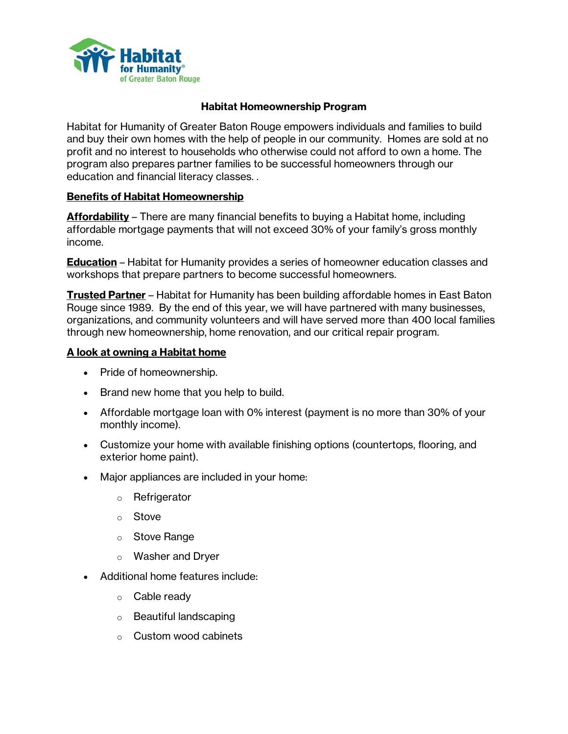

## **Habitat Homeownership Program**

Habitat for Humanity of Greater Baton Rouge empowers individuals and families to build and buy their own homes with the help of people in our community. Homes are sold at no profit and no interest to households who otherwise could not afford to own a home. The program also prepares partner families to be successful homeowners through our education and financial literacy classes. .

#### **Benefits of Habitat Homeownership**

**Affordability** – There are many financial benefits to buying a Habitat home, including affordable mortgage payments that will not exceed 30% of your family's gross monthly income.

**Education** – Habitat for Humanity provides a series of homeowner education classes and workshops that prepare partners to become successful homeowners.

**Trusted Partner** – Habitat for Humanity has been building affordable homes in East Baton Rouge since 1989. By the end of this year, we will have partnered with many businesses, organizations, and community volunteers and will have served more than 400 local families through new homeownership, home renovation, and our critical repair program.

#### **A look at owning a Habitat home**

- Pride of homeownership.
- Brand new home that you help to build.
- Affordable mortgage loan with 0% interest (payment is no more than 30% of your monthly income).
- Customize your home with available finishing options (countertops, flooring, and exterior home paint).
- Major appliances are included in your home:
	- o Refrigerator
	- o Stove
	- o Stove Range
	- o Washer and Dryer
- Additional home features include:
	- o Cable ready
	- o Beautiful landscaping
	- o Custom wood cabinets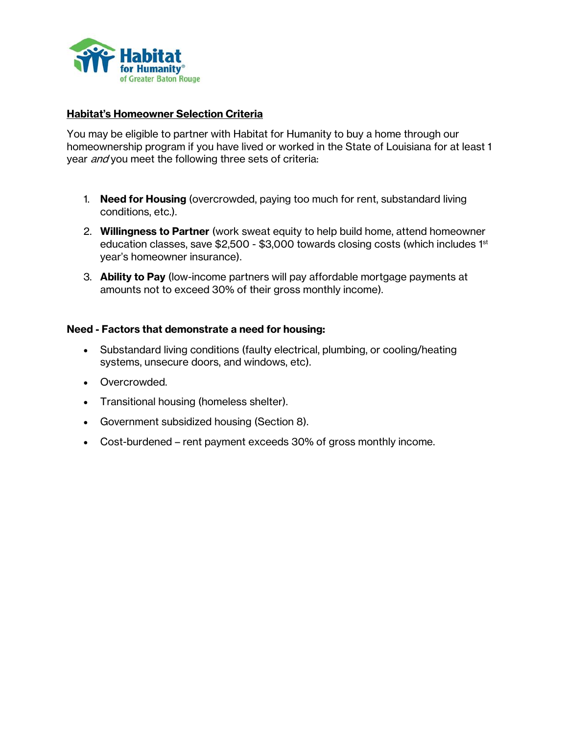

## **Habitat's Homeowner Selection Criteria**

You may be eligible to partner with Habitat for Humanity to buy a home through our homeownership program if you have lived or worked in the State of Louisiana for at least 1 year *and* you meet the following three sets of criteria:

- 1. **Need for Housing** (overcrowded, paying too much for rent, substandard living conditions, etc.).
- 2. **Willingness to Partner** (work sweat equity to help build home, attend homeowner education classes, save \$2,500 - \$3,000 towards closing costs (which includes 1st year's homeowner insurance).
- 3. **Ability to Pay** (low-income partners will pay affordable mortgage payments at amounts not to exceed 30% of their gross monthly income).

## **Need - Factors that demonstrate a need for housing:**

- Substandard living conditions (faulty electrical, plumbing, or cooling/heating systems, unsecure doors, and windows, etc).
- Overcrowded.
- Transitional housing (homeless shelter).
- Government subsidized housing (Section 8).
- Cost-burdened rent payment exceeds 30% of gross monthly income.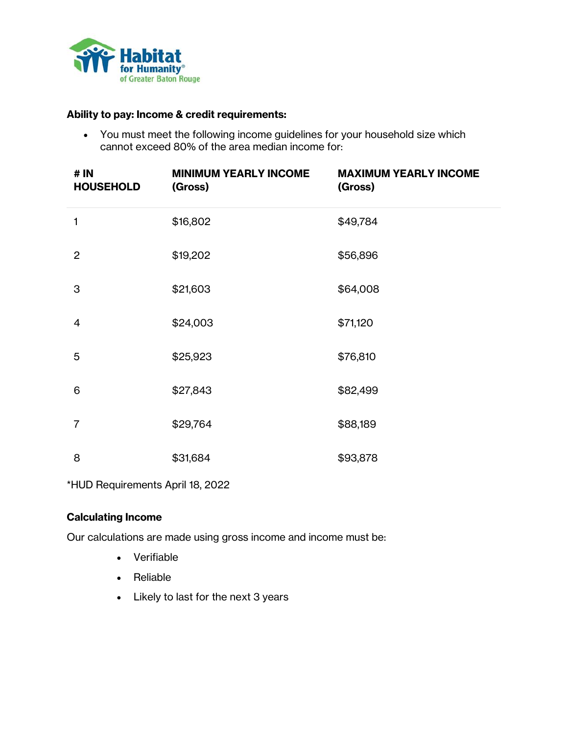

# **Ability to pay: Income & credit requirements:**

• You must meet the following income guidelines for your household size which cannot exceed 80% of the area median income for:

| # IN<br><b>HOUSEHOLD</b> | <b>MINIMUM YEARLY INCOME</b><br>(Gross) | <b>MAXIMUM YEARLY INCOME</b><br>(Gross) |
|--------------------------|-----------------------------------------|-----------------------------------------|
| $\mathbf{1}$             | \$16,802                                | \$49,784                                |
| $\overline{2}$           | \$19,202                                | \$56,896                                |
| 3                        | \$21,603                                | \$64,008                                |
| $\overline{4}$           | \$24,003                                | \$71,120                                |
| 5                        | \$25,923                                | \$76,810                                |
| 6                        | \$27,843                                | \$82,499                                |
| 7                        | \$29,764                                | \$88,189                                |
| 8                        | \$31,684                                | \$93,878                                |

\*HUD Requirements April 18, 2022

# **Calculating Income**

Our calculations are made using gross income and income must be:

- Verifiable
- Reliable
- Likely to last for the next 3 years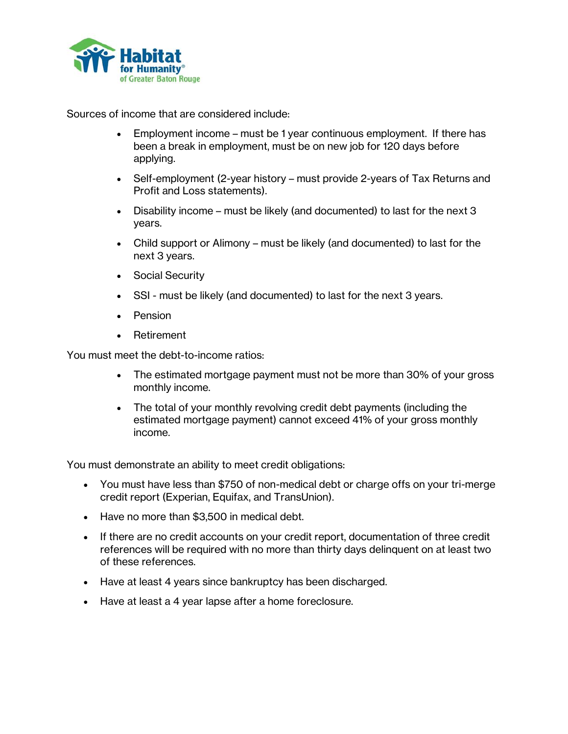

Sources of income that are considered include:

- Employment income must be 1 year continuous employment. If there has been a break in employment, must be on new job for 120 days before applying.
- Self-employment (2-year history must provide 2-years of Tax Returns and Profit and Loss statements).
- Disability income must be likely (and documented) to last for the next 3 years.
- Child support or Alimony must be likely (and documented) to last for the next 3 years.
- Social Security
- SSI must be likely (and documented) to last for the next 3 years.
- **Pension**
- Retirement

You must meet the debt-to-income ratios:

- The estimated mortgage payment must not be more than 30% of your gross monthly income.
- The total of your monthly revolving credit debt payments (including the estimated mortgage payment) cannot exceed 41% of your gross monthly income.

You must demonstrate an ability to meet credit obligations:

- You must have less than \$750 of non-medical debt or charge offs on your tri-merge credit report (Experian, Equifax, and TransUnion).
- Have no more than \$3,500 in medical debt.
- If there are no credit accounts on your credit report, documentation of three credit references will be required with no more than thirty days delinquent on at least two of these references.
- Have at least 4 years since bankruptcy has been discharged.
- Have at least a 4 year lapse after a home foreclosure.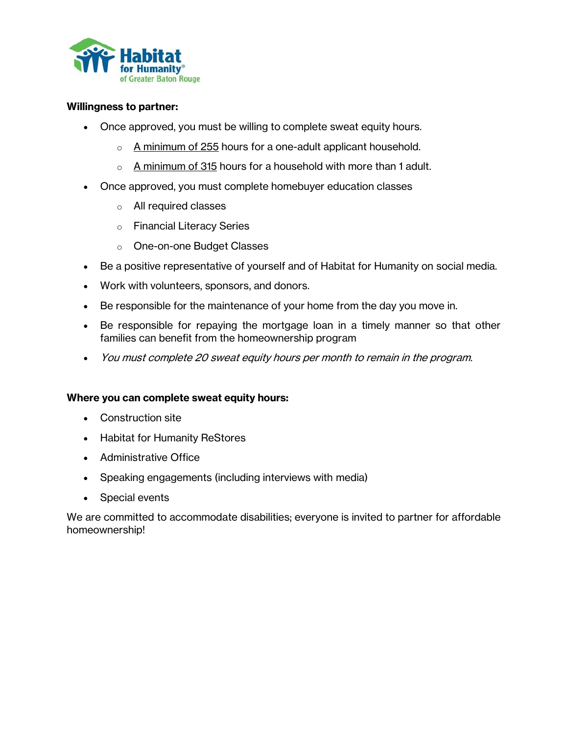

#### **Willingness to partner:**

- Once approved, you must be willing to complete sweat equity hours.
	- $\circ$  A minimum of 255 hours for a one-adult applicant household.
	- $\circ$  A minimum of 315 hours for a household with more than 1 adult.
- Once approved, you must complete homebuyer education classes
	- o All required classes
	- o Financial Literacy Series
	- o One-on-one Budget Classes
- Be a positive representative of yourself and of Habitat for Humanity on social media.
- Work with volunteers, sponsors, and donors.
- Be responsible for the maintenance of your home from the day you move in.
- Be responsible for repaying the mortgage loan in a timely manner so that other families can benefit from the homeownership program
- You must complete 20 sweat equity hours per month to remain in the program.

# **Where you can complete sweat equity hours:**

- Construction site
- Habitat for Humanity ReStores
- Administrative Office
- Speaking engagements (including interviews with media)
- Special events

We are committed to accommodate disabilities; everyone is invited to partner for affordable homeownership!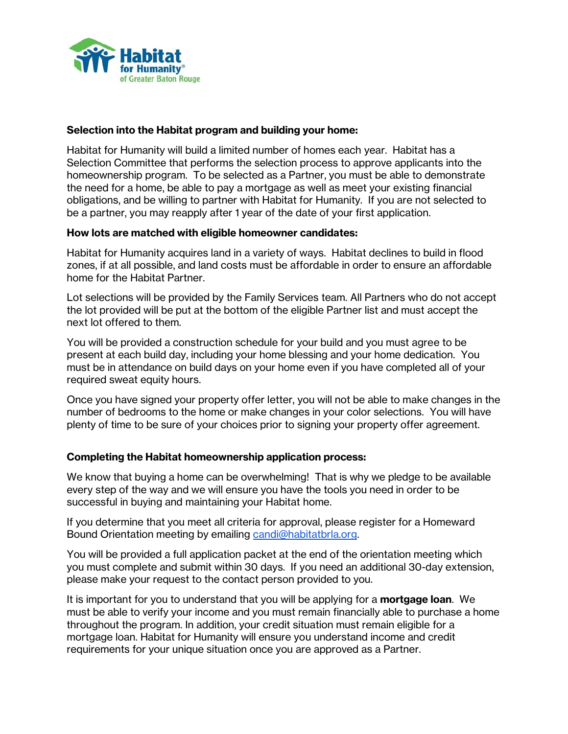

## **Selection into the Habitat program and building your home:**

Habitat for Humanity will build a limited number of homes each year. Habitat has a Selection Committee that performs the selection process to approve applicants into the homeownership program. To be selected as a Partner, you must be able to demonstrate the need for a home, be able to pay a mortgage as well as meet your existing financial obligations, and be willing to partner with Habitat for Humanity. If you are not selected to be a partner, you may reapply after 1 year of the date of your first application.

#### **How lots are matched with eligible homeowner candidates:**

Habitat for Humanity acquires land in a variety of ways. Habitat declines to build in flood zones, if at all possible, and land costs must be affordable in order to ensure an affordable home for the Habitat Partner.

Lot selections will be provided by the Family Services team. All Partners who do not accept the lot provided will be put at the bottom of the eligible Partner list and must accept the next lot offered to them.

You will be provided a construction schedule for your build and you must agree to be present at each build day, including your home blessing and your home dedication. You must be in attendance on build days on your home even if you have completed all of your required sweat equity hours.

Once you have signed your property offer letter, you will not be able to make changes in the number of bedrooms to the home or make changes in your color selections. You will have plenty of time to be sure of your choices prior to signing your property offer agreement.

#### **Completing the Habitat homeownership application process:**

We know that buying a home can be overwhelming! That is why we pledge to be available every step of the way and we will ensure you have the tools you need in order to be successful in buying and maintaining your Habitat home.

If you determine that you meet all criteria for approval, please register for a Homeward Bound Orientation meeting by emailing [candi@habitatbrla.org.](mailto:candi@habitatbrla.org)

You will be provided a full application packet at the end of the orientation meeting which you must complete and submit within 30 days. If you need an additional 30-day extension, please make your request to the contact person provided to you.

It is important for you to understand that you will be applying for a **mortgage loan**. We must be able to verify your income and you must remain financially able to purchase a home throughout the program. In addition, your credit situation must remain eligible for a mortgage loan. Habitat for Humanity will ensure you understand income and credit requirements for your unique situation once you are approved as a Partner.